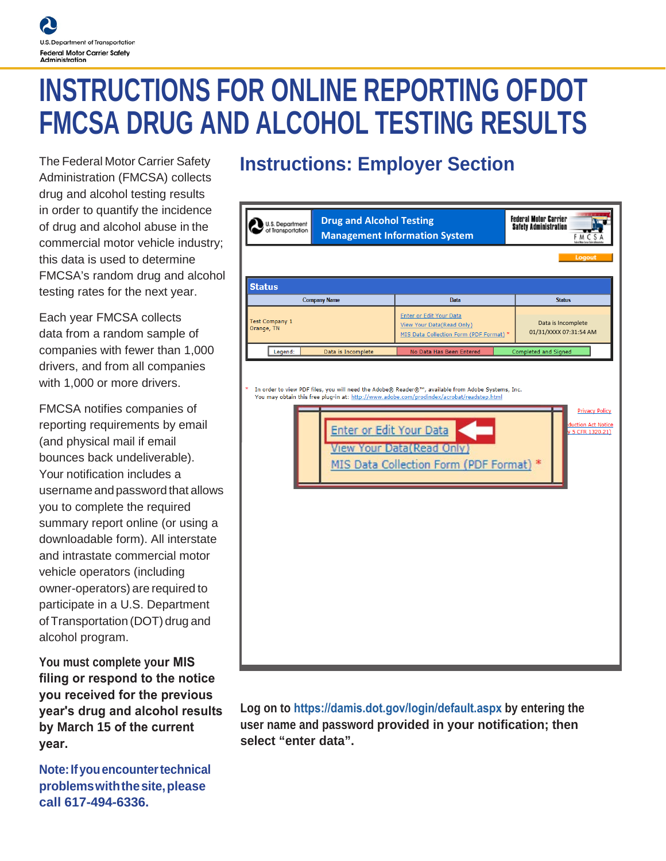# **INSTRUCTIONS FOR ONLINE REPORTING OFDOT FMCSA DRUG AND ALCOHOL TESTING RESULTS**

The Federal Motor Carrier Safety Administration (FMCSA) collects drug and alcohol testing results in order to quantify the incidence of drug and alcohol abuse in the commercial motor vehicle industry; this data is used to determine FMCSA's random drug and alcohol testing rates for the next year.

Each year FMCSA collects data from a random sample of companies with fewer than 1,000 drivers, and from all companies with 1,000 or more drivers.

FMCSA notifies companies of reporting requirements by email (and physical mail if email bounces back undeliverable). Your notification includes a username and password that allows you to complete the required summary report online (or using a downloadable form). All interstate and intrastate commercial motor vehicle operators (including owner-operators) are required to participate in a U.S. Department of Transportation (DOT) drug and alcohol program.

**You must complete your MIS filing or respond to the notice you received for the previous year's drug and alcohol results by March 15 of the current year.**

**Note: If you encounter technical problemswiththesite,please call 617-494-6336.**

## **Instructions: Employer Section**

| U.S. Department<br>of Transportation | <b>Drug and Alcohol Testing</b> | <b>Management Information System</b>                                                                                                                                                                                                                                           | <b>Federal Motor Carrier</b><br><b>Safety Administration</b><br>FMCSA |
|--------------------------------------|---------------------------------|--------------------------------------------------------------------------------------------------------------------------------------------------------------------------------------------------------------------------------------------------------------------------------|-----------------------------------------------------------------------|
|                                      |                                 |                                                                                                                                                                                                                                                                                | Logout                                                                |
| <b>Status</b>                        |                                 |                                                                                                                                                                                                                                                                                |                                                                       |
|                                      | <b>Company Name</b>             | <b>Data</b>                                                                                                                                                                                                                                                                    | <b>Status</b>                                                         |
| <b>Test Company 1</b><br>Orange, TN  |                                 | Enter or Edit Your Data<br>View Your Data(Read Only)<br>MIS Data Collection Form (PDF Format) *                                                                                                                                                                                | Data is Incomplete<br>01/31/XXXX 07:31:54 AM                          |
| Legend:                              | Data is Incomplete              | No Data Has Been Entered                                                                                                                                                                                                                                                       | Completed and Signed                                                  |
|                                      | Enter or Edit Your Data         | In order to view PDF files, you will need the Adobe® Reader®™, available from Adobe Systems, Inc.<br>You may obtain this free plug-in at: http://www.adobe.com/prodindex/acrobat/readstep.html<br><b>View Your Data (Read Only)</b><br>MIS Data Collection Form (PDF Format) * | <b>Privacy Policy</b><br>duction Act Notice<br>v 5 CFR 1320.21)       |

**Log on to [https://damis.dot.gov/login/default.aspx](https://damis.dot.gov/Login/Login.asp) by entering the user name and password provided in your notification; then select "enter data".**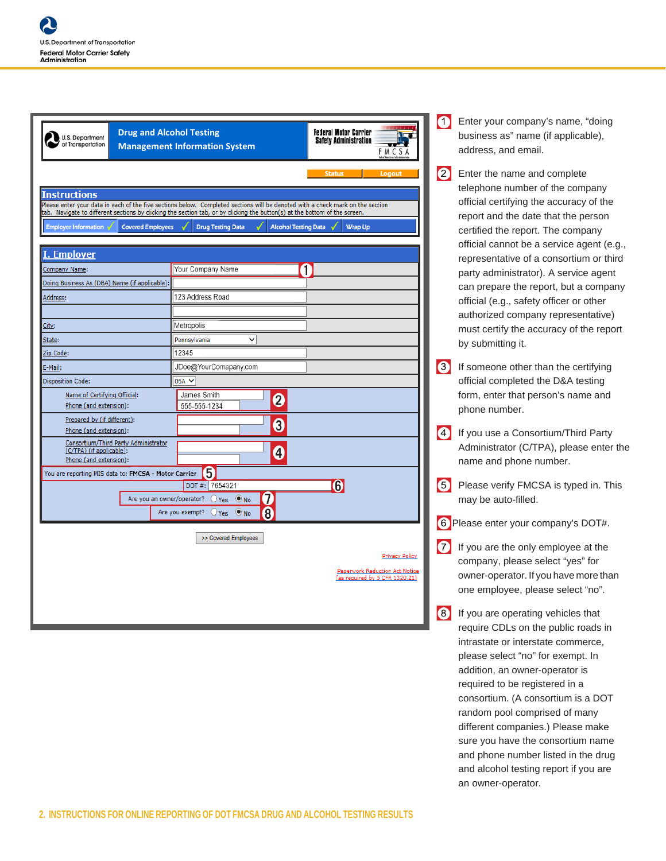| U.S. Department<br>of Transportation                                                       | <b>Drug and Alcohol Testing</b><br><b>Management Information System</b>                                                                                                                                                                                                                                                 | <b>Federal Motor Carrier</b><br><b>Safety Administration</b><br>F M C S A                 |  |  |  |  |
|--------------------------------------------------------------------------------------------|-------------------------------------------------------------------------------------------------------------------------------------------------------------------------------------------------------------------------------------------------------------------------------------------------------------------------|-------------------------------------------------------------------------------------------|--|--|--|--|
| <b>Instructions</b>                                                                        |                                                                                                                                                                                                                                                                                                                         | <b>Status</b><br>Logout                                                                   |  |  |  |  |
| <b>Employer Information</b><br><b>Covered Employees</b>                                    | Please enter your data in each of the five sections below. Completed sections will be denoted with a check mark on the section<br>tab. Navigate to different sections by clicking the section tab, or by clicking the button(s) at the bottom of the screen.<br><b>Drug Testing Data</b><br><b>Alcohol Testing Data</b> | <b>Wrap Up</b>                                                                            |  |  |  |  |
| <b>I. Employer</b>                                                                         |                                                                                                                                                                                                                                                                                                                         |                                                                                           |  |  |  |  |
| Company Name:                                                                              | ſ<br>Your Company Name                                                                                                                                                                                                                                                                                                  |                                                                                           |  |  |  |  |
| Doing Business As (DBA) Name (if applicable):                                              |                                                                                                                                                                                                                                                                                                                         |                                                                                           |  |  |  |  |
| Address:                                                                                   | 123 Address Road                                                                                                                                                                                                                                                                                                        |                                                                                           |  |  |  |  |
| City:                                                                                      | Metropolis                                                                                                                                                                                                                                                                                                              |                                                                                           |  |  |  |  |
| State:                                                                                     | Pennsylvania<br>$\checkmark$                                                                                                                                                                                                                                                                                            |                                                                                           |  |  |  |  |
| Zip Code:                                                                                  | 12345                                                                                                                                                                                                                                                                                                                   |                                                                                           |  |  |  |  |
| E-Mail:                                                                                    | JDoe@YourComapany.com                                                                                                                                                                                                                                                                                                   |                                                                                           |  |  |  |  |
| <b>Disposition Code:</b>                                                                   | 06A V                                                                                                                                                                                                                                                                                                                   |                                                                                           |  |  |  |  |
| Name of Certifying Official:<br>Phone (and extension):                                     | James Smith<br>2<br>555-555-1234                                                                                                                                                                                                                                                                                        |                                                                                           |  |  |  |  |
| Prepared by (if different):<br>Phone (and extension):                                      | 3                                                                                                                                                                                                                                                                                                                       |                                                                                           |  |  |  |  |
| Consortium/Third Party Administrator<br>(C/TPA) (if applicable):<br>Phone (and extension): | 4                                                                                                                                                                                                                                                                                                                       |                                                                                           |  |  |  |  |
| You are reporting MIS data to: FMCSA - Motor Carrier                                       | 5                                                                                                                                                                                                                                                                                                                       |                                                                                           |  |  |  |  |
|                                                                                            | 7654321<br>DOT#:                                                                                                                                                                                                                                                                                                        | $\odot$                                                                                   |  |  |  |  |
| Are you an owner/operator?                                                                 | 7<br>$O$ Yes $\bullet$ No<br>8<br>Are you exempt?<br>$OYes$ ONo                                                                                                                                                                                                                                                         |                                                                                           |  |  |  |  |
|                                                                                            | >> Covered Employees                                                                                                                                                                                                                                                                                                    |                                                                                           |  |  |  |  |
|                                                                                            |                                                                                                                                                                                                                                                                                                                         | <b>Privacy Policy</b><br>Paperwork Reduction Act Notice<br>(as required by 5 CFR 1320.21) |  |  |  |  |
|                                                                                            |                                                                                                                                                                                                                                                                                                                         |                                                                                           |  |  |  |  |

Enter your company's name, "doing business as" name (if applicable), address, and email.

2 Enter the name and complete telephone number of the company official certifying the accuracy of the report and the date that the person certified the report. The company official cannot be a service agent (e.g., representative of a consortium or third party administrator). A service agent can prepare the report, but a company official (e.g., safety officer or other authorized company representative) must certify the accuracy of the report by submitting it.

**3** If someone other than the certifying official completed the D&A testing form, enter that person's name and phone number.

**4** If you use a Consortium/Third Party Administrator (C/TPA), please enter the name and phone number.

**5** Please verify FMCSA is typed in. This may be auto-filled.

Please enter your company's DOT#.

**17** If you are the only employee at the company, please select "yes" for owner-operator. If you have more than one employee, please select "no".

8 If you are operating vehicles that require CDLs on the public roads in intrastate or interstate commerce, please select "no" for exempt. In addition, an owner-operator is required to be registered in a consortium. (A consortium is a DOT random pool comprised of many different companies.) Please make sure you have the consortium name and phone number listed in the drug and alcohol testing report if you are an owner-operator.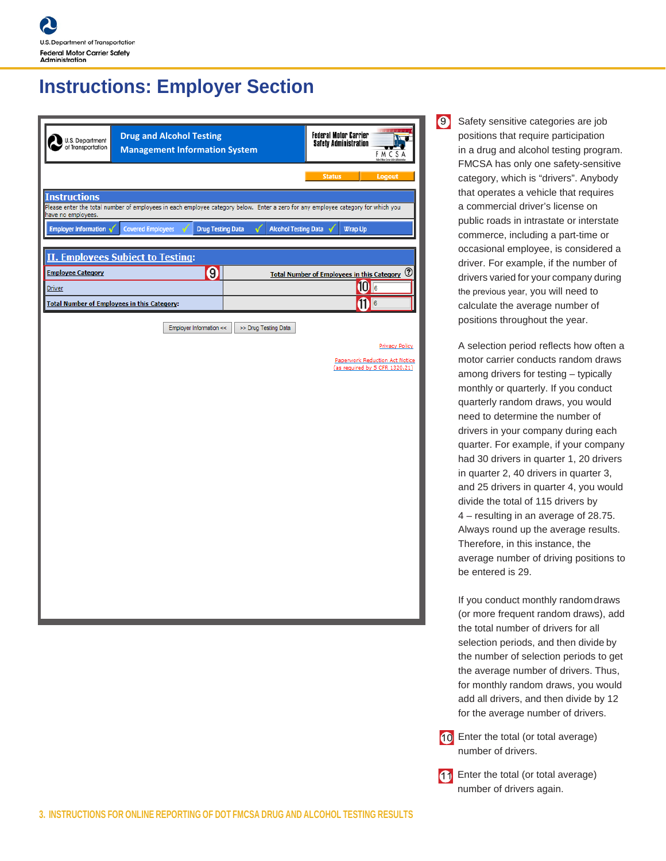#### **Instructions: Employer Section**

| U.S. Department<br>of Transportation               | <b>Drug and Alcohol Testing</b><br><b>Management Information System</b>                                                          |                             | <b>Federal Motor Carrier</b><br>Safety Administration<br>v.<br><b>FMCSA</b> |
|----------------------------------------------------|----------------------------------------------------------------------------------------------------------------------------------|-----------------------------|-----------------------------------------------------------------------------|
|                                                    |                                                                                                                                  |                             | <b>Status</b><br>Logout                                                     |
| <b>Instructions</b>                                | Please enter the total number of employees in each employee category below. Enter a zero for any employee category for which you |                             |                                                                             |
| have no employees.<br>Employer Information v       | <b>Covered Employees</b><br><b>Drug Testing Data</b>                                                                             | <b>Alcohol Testing Data</b> | <b>Wrap Up</b>                                                              |
|                                                    |                                                                                                                                  |                             |                                                                             |
| <b>Employee Category</b>                           | <b>II. Employees Subject to Testing:</b><br> 0                                                                                   |                             |                                                                             |
| <b>Driver</b>                                      |                                                                                                                                  |                             | Total Number of Employees in this Category 7<br>10 <sub>6</sub>             |
| <b>Total Number of Employees in this Category:</b> |                                                                                                                                  |                             | $\left  \mathbf{a} \right $                                                 |
|                                                    | Employer Information <<                                                                                                          | >> Drug Testing Data        |                                                                             |
|                                                    |                                                                                                                                  |                             | Privacy Policy                                                              |
|                                                    |                                                                                                                                  |                             | Paperwork Reduction Act Notice<br>(as required by 5 CFR 1320.21)            |
|                                                    |                                                                                                                                  |                             |                                                                             |
|                                                    |                                                                                                                                  |                             |                                                                             |
|                                                    |                                                                                                                                  |                             |                                                                             |
|                                                    |                                                                                                                                  |                             |                                                                             |
|                                                    |                                                                                                                                  |                             |                                                                             |
|                                                    |                                                                                                                                  |                             |                                                                             |
|                                                    |                                                                                                                                  |                             |                                                                             |
|                                                    |                                                                                                                                  |                             |                                                                             |
|                                                    |                                                                                                                                  |                             |                                                                             |
|                                                    |                                                                                                                                  |                             |                                                                             |
|                                                    |                                                                                                                                  |                             |                                                                             |
|                                                    |                                                                                                                                  |                             |                                                                             |

**9** Safety sensitive categories are job positions that require participation in a drug and alcohol testing program. FMCSA has only one safety-sensitive category, which is "drivers". Anybody that operates a vehicle that requires a commercial driver's license on public roads in intrastate or interstate commerce, including a part-time or occasional employee, is considered a driver. For example, if the number of drivers varied for your company during the previous year, you will need to calculate the average number of positions throughout the year.

> A selection period reflects how often a motor carrier conducts random draws among drivers for testing – typically monthly or quarterly. If you conduct quarterly random draws, you would need to determine the number of drivers in your company during each quarter. For example, if your company had 30 drivers in quarter 1, 20 drivers in quarter 2, 40 drivers in quarter 3, and 25 drivers in quarter 4, you would divide the total of 115 drivers by 4 – resulting in an average of 28.75. Always round up the average results. Therefore, in this instance, the average number of driving positions to be entered is 29.

> If you conduct monthly randomdraws (or more frequent random draws), add the total number of drivers for all selection periods, and then divide by the number of selection periods to get the average number of drivers. Thus, for monthly random draws, you would add all drivers, and then divide by 12 for the average number of drivers.

10 Enter the total (or total average) number of drivers.

11 Enter the total (or total average) number of drivers again.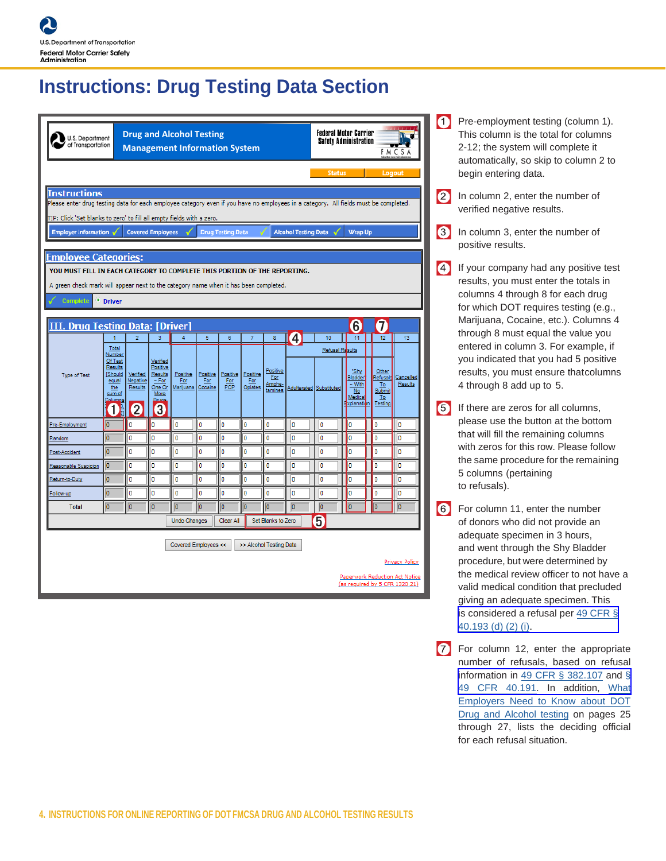#### **Instructions: Drug Testing Data Section**

|                                                                                                                                      |                                                                                         | <b>Drug and Alcohol Testing</b><br><b>U.S. Department</b><br>of Transportation<br><b>Management Information System</b> |                                                                               |                                      |                 |                               |                            | <b>Federal Motor Carrier</b><br><b>Safety Administration</b><br><b>FMCSA</b> |                         |                 |                                                                       |                                                           |                                                  |
|--------------------------------------------------------------------------------------------------------------------------------------|-----------------------------------------------------------------------------------------|------------------------------------------------------------------------------------------------------------------------|-------------------------------------------------------------------------------|--------------------------------------|-----------------|-------------------------------|----------------------------|------------------------------------------------------------------------------|-------------------------|-----------------|-----------------------------------------------------------------------|-----------------------------------------------------------|--------------------------------------------------|
| <b>Status</b><br>Logout                                                                                                              |                                                                                         |                                                                                                                        |                                                                               |                                      |                 |                               |                            |                                                                              |                         |                 |                                                                       |                                                           |                                                  |
| <b>Instructions</b>                                                                                                                  |                                                                                         |                                                                                                                        |                                                                               |                                      |                 |                               |                            |                                                                              |                         |                 |                                                                       |                                                           |                                                  |
| Please enter drug testing data for each employee category even if you have no employees in a category. All fields must be completed. |                                                                                         |                                                                                                                        |                                                                               |                                      |                 |                               |                            |                                                                              |                         |                 |                                                                       |                                                           |                                                  |
| TIP: Click 'Set blanks to zero' to fill all empty fields with a zero.                                                                |                                                                                         |                                                                                                                        |                                                                               |                                      |                 |                               |                            |                                                                              |                         |                 |                                                                       |                                                           |                                                  |
| <b>Employer Information</b><br><b>Covered Employees</b><br><b>Drug Testing Data</b><br><b>Alcohol Testing Data</b><br><b>Wrap Up</b> |                                                                                         |                                                                                                                        |                                                                               |                                      |                 |                               |                            |                                                                              |                         |                 |                                                                       |                                                           |                                                  |
|                                                                                                                                      |                                                                                         |                                                                                                                        |                                                                               |                                      |                 |                               |                            |                                                                              |                         |                 |                                                                       |                                                           |                                                  |
| <b>Employee Categories:</b>                                                                                                          |                                                                                         |                                                                                                                        |                                                                               |                                      |                 |                               |                            |                                                                              |                         |                 |                                                                       |                                                           |                                                  |
|                                                                                                                                      | YOU MUST FILL IN EACH CATEGORY TO COMPLETE THIS PORTION OF THE REPORTING.               |                                                                                                                        |                                                                               |                                      |                 |                               |                            |                                                                              |                         |                 |                                                                       |                                                           |                                                  |
| A green check mark will appear next to the category name when it has been completed.                                                 |                                                                                         |                                                                                                                        |                                                                               |                                      |                 |                               |                            |                                                                              |                         |                 |                                                                       |                                                           |                                                  |
| Complete                                                                                                                             | • Driver                                                                                |                                                                                                                        |                                                                               |                                      |                 |                               |                            |                                                                              |                         |                 |                                                                       |                                                           |                                                  |
| <b>III. Drug Testing Data: [Driver]</b>                                                                                              |                                                                                         |                                                                                                                        |                                                                               |                                      |                 |                               |                            |                                                                              |                         |                 | $6\phantom{.}6$                                                       |                                                           |                                                  |
|                                                                                                                                      |                                                                                         | $\overline{2}$                                                                                                         | 3                                                                             | 4                                    | 5               | 6                             | 7                          | 8                                                                            | $\overline{\mathbf{1}}$ | 10              | 11                                                                    | 12                                                        | 13                                               |
|                                                                                                                                      | Total<br>Number                                                                         |                                                                                                                        |                                                                               |                                      |                 |                               |                            |                                                                              |                         | Refusal Results |                                                                       |                                                           |                                                  |
| Type of Test                                                                                                                         | Of Test<br>Results<br>Should<br>equal<br>the<br>sum of<br>Columns<br>$\frac{1}{4}$<br>1 | Verified<br>Negative<br>Results<br>$\boldsymbol{Q}$                                                                    | Verified<br>Positive<br>Results<br>$\sim$ For<br>One Or<br>More<br>Druos<br>3 | Positive<br>For<br>Marijuana Cocaine | Positive<br>For | Positive<br><b>Eor</b><br>PCP | Positive<br>For<br>Opiates | Positive<br>For<br>Amphe-<br>tamines                                         | Adulterated Substituted |                 | "Shy<br>Bladder<br>$~\sim$ With<br>No<br>Medical<br><b>Explanatio</b> | Other<br><b>Refusals</b><br>To<br>Submit<br>To<br>Testing | Cancelled<br>Results                             |
| Pre-Employment                                                                                                                       | I٥                                                                                      | 0                                                                                                                      | o                                                                             | O                                    | ١o              | o                             | o                          | o                                                                            | I٥                      | o               | Ō                                                                     | 0                                                         | o                                                |
| Random                                                                                                                               | o                                                                                       | O                                                                                                                      | I٥                                                                            | O                                    | ١o              | o                             | Ō                          | Ō                                                                            | ١o                      | o               | Ō                                                                     | Ō                                                         | o                                                |
| Post-Accident                                                                                                                        | o                                                                                       | O                                                                                                                      | I٥                                                                            | I٥                                   | I٥              | O                             | O                          | O                                                                            | I٥                      | O               | O                                                                     | O                                                         | O                                                |
| Reasonable Suspicion                                                                                                                 | o                                                                                       | O                                                                                                                      | I٥                                                                            | o                                    | ١o              | o                             | o                          | o                                                                            | o                       | Ō               | Ō                                                                     | Ō                                                         | o                                                |
| Return-to-Duty                                                                                                                       | o                                                                                       | O                                                                                                                      | I٥                                                                            | I٥                                   | I٥              | O                             | O                          | o                                                                            | I٥                      | o               | O                                                                     | 0                                                         | O                                                |
| Follow-up                                                                                                                            | o                                                                                       | 0                                                                                                                      | I٥                                                                            | O                                    | ١o              | o                             | o                          | o                                                                            | I٥                      | o               | ٥                                                                     | 0                                                         | O                                                |
| <b>Total</b>                                                                                                                         | o                                                                                       | o                                                                                                                      | o                                                                             | o                                    | o               | o                             | o                          | o                                                                            | o                       | O               | ō                                                                     | $\overline{0}$                                            | o                                                |
|                                                                                                                                      |                                                                                         |                                                                                                                        |                                                                               | <b>Undo Changes</b>                  |                 | Clear All                     |                            | Set Blanks to Zero                                                           |                         | 5               |                                                                       |                                                           |                                                  |
|                                                                                                                                      |                                                                                         |                                                                                                                        |                                                                               | Covered Employees <<                 |                 |                               |                            | >> Alcohol Testing Data                                                      |                         |                 | (as required by 5 CFR 1320.21)                                        |                                                           | Privacy Policy<br>Paperwork Reduction Act Notice |

- Pre-employment testing (column 1). This column is the total for columns 2-12; the system will complete it automatically, so skip to column 2 to begin entering data.
- 2 In column 2, enter the number of verified negative results.
- 3 In column 3, enter the number of positive results.
- **4** If your company had any positive test results, you must enter the totals in columns 4 through 8 for each drug for which DOT requires testing (e.g., Marijuana, Cocaine, etc.). Columns 4 through 8 must equal the value you entered in column 3. For example, if you indicated that you had 5 positive results, you must ensure thatcolumns 4 through 8 add up to 5.
- If there are zeros for all columns, please use the button at the bottom that will fill the remaining columns with zeros for this row. Please follow the same procedure for the remaining 5 columns (pertaining to refusals).
- For column 11, enter the number of donors who did not provide an adequate specimen in 3 hours, and went through the Shy Bladder procedure, but were determined by the medical review officer to not have a valid medical condition that precluded giving an adequate specimen. This is considered a refusal per [49 CFR §](https://www.transportation.gov/odapc/part40/40_193) [40.193 \(d\) \(2\) \(i\)](https://www.transportation.gov/odapc/part40/40_193).
- For column 12, enter the appropriate number of refusals, based on refusal information i[n 49 CFR § 382.107](https://www.fmcsa.dot.gov/regulations/title49/section/382.107) and § [49 CFR 40.191.](https://www.transportation.gov/odapc/part40/40_191) [In addition](https://www.transportation.gov/odapc/part40/40-191)[, W](https://www.transportation.gov/sites/dot.gov/files/docs/ODAPC_Employer_Guidelines_%20June_1_2015_A.pdf)[hat](https://www.transportation.gov/odapc/part40/40-191) [Employers](https://www.transportation.gov/sites/dot.gov/files/docs/ODAPC_Employer_Guidelines_%20June_1_2015_A.pdf) Need to Know about DOT Drug and [Alcohol](https://www.transportation.gov/sites/dot.gov/files/docs/ODAPC_Employer_Guidelines_%20June_1_2015_A.pdf) testing on pages 25 through 27, lists the deciding official for each refusal situation.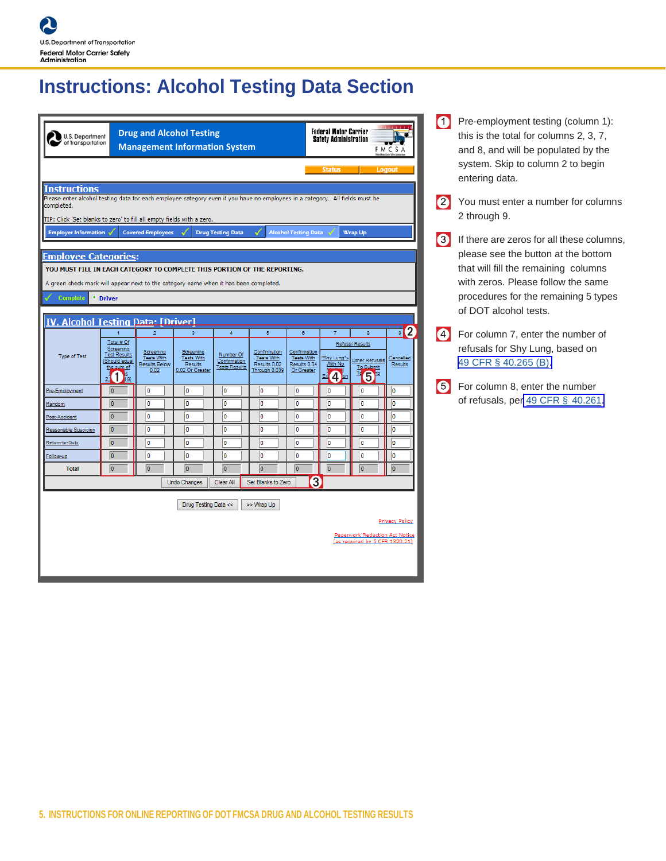## **Instructions: Alcohol Testing Data Section**

| U.S. Department<br>of Transportation                                                                                                                                                                                              |                                                                                                  |                                                                           | <b>Drug and Alcohol Testing</b><br><b>Management Information System</b> |                                                                     |                                                                               |                                                                      | <b>Federal Motor Carrier</b><br><b>Safety Administration</b>      |                                                                           | <b>FMCSA</b>                                       | 0 |
|-----------------------------------------------------------------------------------------------------------------------------------------------------------------------------------------------------------------------------------|--------------------------------------------------------------------------------------------------|---------------------------------------------------------------------------|-------------------------------------------------------------------------|---------------------------------------------------------------------|-------------------------------------------------------------------------------|----------------------------------------------------------------------|-------------------------------------------------------------------|---------------------------------------------------------------------------|----------------------------------------------------|---|
| Instructions<br>Please enter alcohol testing data for each employee category even if you have no employees in a category. All fields must be<br>completed.                                                                        |                                                                                                  |                                                                           |                                                                         |                                                                     |                                                                               |                                                                      | <b>Status</b>                                                     |                                                                           | Logout                                             |   |
| TIP: Click 'Set blanks to zero' to fill all empty fields with a zero.<br><b>Employer Information</b><br><b>Employee Categories:</b>                                                                                               |                                                                                                  | <b>Covered Employees</b>                                                  |                                                                         | <b>Drug Testing Data</b>                                            |                                                                               | <b>Alcohol Testing Data</b>                                          |                                                                   | Wrap Up                                                                   |                                                    | 6 |
| YOU MUST FILL IN EACH CATEGORY TO COMPLETE THIS PORTION OF THE REPORTING.<br>A green check mark will appear next to the category name when it has been completed.<br><b>Complete</b><br><b>IV. Alcohol Testing Data: [Driver]</b> | * Driver                                                                                         |                                                                           |                                                                         |                                                                     |                                                                               |                                                                      |                                                                   |                                                                           |                                                    |   |
| <b>Type of Test</b>                                                                                                                                                                                                               | Total # Of<br>Screening<br><b>Test Results</b><br>[Should equal<br>the sum of<br>Þ.<br>2.<br>ī81 | $\overline{2}$<br>Screening<br>Tests With<br><b>Results Below</b><br>0.02 | 3<br>Screening<br><b>Tests With</b><br>Results<br>0.02 Or Greater       | $\overline{4}$<br>Number Of<br>Confirmation<br><b>Tests Results</b> | $\overline{5}$<br>Confirmation<br>Tests With<br>Results 0.02<br>Through 0.039 | 6<br>Confirmation<br><b>Tests With</b><br>Results 0.04<br>Or Greater | $\overline{7}$<br>'Shy Lung"~<br>With No<br>4 <sup>on</sup><br>Ex | 8<br><b>Refusal Results</b><br>Other Refusals<br>To Submit<br>G<br>R<br>6 | $\overline{\phantom{a}}$ 2<br>Cancelled<br>Results |   |
| Pre-Employment                                                                                                                                                                                                                    | $\overline{0}$                                                                                   | o                                                                         | O                                                                       | o                                                                   | o                                                                             | O                                                                    | o                                                                 | o                                                                         | I٥                                                 |   |
| Random                                                                                                                                                                                                                            | $\overline{0}$                                                                                   | o                                                                         | o                                                                       | ١o                                                                  | o                                                                             | O                                                                    | b                                                                 | Ō                                                                         | o                                                  |   |
| Post-Accident                                                                                                                                                                                                                     | $\overline{0}$                                                                                   | $\overline{0}$                                                            | o                                                                       | I٥                                                                  | ۱o                                                                            | o                                                                    | b                                                                 | $\overline{0}$                                                            | o                                                  |   |
| Reasonable Suspicion                                                                                                                                                                                                              | $\overline{0}$                                                                                   | o                                                                         | $\overline{0}$                                                          | o                                                                   | o                                                                             | $\overline{0}$                                                       | o                                                                 | $\overline{0}$                                                            | o                                                  |   |
| Return-to-Duty                                                                                                                                                                                                                    | $\overline{0}$                                                                                   | o                                                                         | $\overline{0}$                                                          | o                                                                   | o                                                                             | $\overline{0}$                                                       | b                                                                 | $\overline{0}$                                                            | o                                                  |   |
| Follow-up<br><b>Total</b>                                                                                                                                                                                                         | $\overline{0}$<br>$\overline{0}$                                                                 | O<br>o                                                                    | o<br>$\overline{0}$                                                     | o<br>$\overline{0}$                                                 | o<br>o                                                                        | O<br>о                                                               | o<br>o                                                            | O<br>Го                                                                   | o<br>o                                             |   |
|                                                                                                                                                                                                                                   |                                                                                                  |                                                                           | <b>Undo Changes</b>                                                     | Clear All                                                           | Set Blanks to Zero                                                            |                                                                      | 3                                                                 |                                                                           |                                                    |   |
|                                                                                                                                                                                                                                   |                                                                                                  |                                                                           | Drug Testing Data <<                                                    |                                                                     | >> Wrap Up                                                                    |                                                                      |                                                                   | Paperwork Reduction Act Notice<br>(as required by 5 CFR 1320.21)          | Privacy Policy                                     |   |

Pre-employment testing (column 1): this is the total for columns 2, 3, 7, and 8, and will be populated by the system. Skip to column 2 to begin entering data.

You must enter a number for columns 2 through 9.

If there are zeros for all these columns, please see the button at the bottom that will fill the remaining columns with zeros. Please follow the same procedures for the remaining 5 types of DOT alcohol tests.

For column 7, enter the number of refusals for Shy Lung, based on 49 CFR [§ 40.265 \(B\)](https://www.transportation.gov/odapc/part40/40_265)[.](https://www.transportation.gov/odapc/part40/40-265)

For column 8, enter the number of refusals, per [49 CFR §](https://www.transportation.gov/odapc/part40/40-261) 40.261.